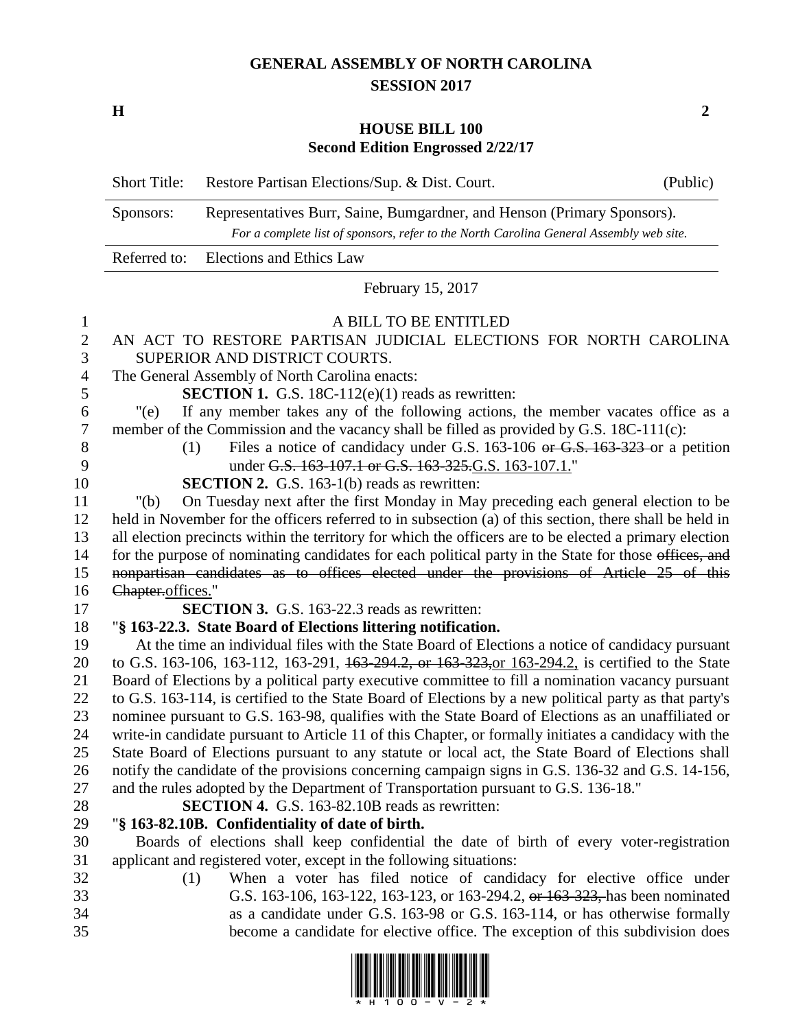## **GENERAL ASSEMBLY OF NORTH CAROLINA SESSION 2017**

**H 2**

## **HOUSE BILL 100 Second Edition Engrossed 2/22/17**

|                | <b>Short Title:</b>                                                                                                                                                                                              | Restore Partisan Elections/Sup. & Dist. Court.                                                                                                                     | (Public) |
|----------------|------------------------------------------------------------------------------------------------------------------------------------------------------------------------------------------------------------------|--------------------------------------------------------------------------------------------------------------------------------------------------------------------|----------|
|                | Sponsors:                                                                                                                                                                                                        | Representatives Burr, Saine, Bumgardner, and Henson (Primary Sponsors).<br>For a complete list of sponsors, refer to the North Carolina General Assembly web site. |          |
|                | Referred to:                                                                                                                                                                                                     | Elections and Ethics Law                                                                                                                                           |          |
|                |                                                                                                                                                                                                                  | February 15, 2017                                                                                                                                                  |          |
| $\mathbf{1}$   |                                                                                                                                                                                                                  | A BILL TO BE ENTITLED                                                                                                                                              |          |
| $\mathbf{2}$   |                                                                                                                                                                                                                  | AN ACT TO RESTORE PARTISAN JUDICIAL ELECTIONS FOR NORTH CAROLINA                                                                                                   |          |
| 3              |                                                                                                                                                                                                                  | SUPERIOR AND DISTRICT COURTS.                                                                                                                                      |          |
| $\overline{4}$ | The General Assembly of North Carolina enacts:                                                                                                                                                                   |                                                                                                                                                                    |          |
| 5              | <b>SECTION 1.</b> G.S. 18C-112 $(e)(1)$ reads as rewritten:                                                                                                                                                      |                                                                                                                                                                    |          |
| 6              | $"$ (e)                                                                                                                                                                                                          | If any member takes any of the following actions, the member vacates office as a                                                                                   |          |
| 7              |                                                                                                                                                                                                                  | member of the Commission and the vacancy shall be filled as provided by G.S. 18C-111(c):                                                                           |          |
| $8\,$          | (1)                                                                                                                                                                                                              | Files a notice of candidacy under G.S. 163-106 or G.S. 163-323 or a petition                                                                                       |          |
| 9              |                                                                                                                                                                                                                  | under G.S. 163-107.1 or G.S. 163-325.G.S. 163-107.1."                                                                                                              |          |
| 10<br>11       |                                                                                                                                                                                                                  | <b>SECTION 2.</b> G.S. 163-1(b) reads as rewritten:<br>On Tuesday next after the first Monday in May preceding each general election to be                         |          |
| 12             | " $(b)$                                                                                                                                                                                                          |                                                                                                                                                                    |          |
| 13             | held in November for the officers referred to in subsection (a) of this section, there shall be held in                                                                                                          |                                                                                                                                                                    |          |
| 14             | all election precincts within the territory for which the officers are to be elected a primary election<br>for the purpose of nominating candidates for each political party in the State for those offices, and |                                                                                                                                                                    |          |
| 15             | nonpartisan candidates as to offices elected under the provisions of Article 25 of this                                                                                                                          |                                                                                                                                                                    |          |
| 16             | Chapter.offices."                                                                                                                                                                                                |                                                                                                                                                                    |          |
| 17             | <b>SECTION 3.</b> G.S. 163-22.3 reads as rewritten:                                                                                                                                                              |                                                                                                                                                                    |          |
| 18             |                                                                                                                                                                                                                  | "§ 163-22.3. State Board of Elections littering notification.                                                                                                      |          |
| 19             |                                                                                                                                                                                                                  | At the time an individual files with the State Board of Elections a notice of candidacy pursuant                                                                   |          |
| 20             |                                                                                                                                                                                                                  | to G.S. 163-106, 163-112, 163-291, 163-294.2, or 163-323, or 163-294.2, is certified to the State                                                                  |          |
| 21             |                                                                                                                                                                                                                  | Board of Elections by a political party executive committee to fill a nomination vacancy pursuant                                                                  |          |
| 22             |                                                                                                                                                                                                                  | to G.S. 163-114, is certified to the State Board of Elections by a new political party as that party's                                                             |          |
| 23             |                                                                                                                                                                                                                  | nominee pursuant to G.S. 163-98, qualifies with the State Board of Elections as an unaffiliated or                                                                 |          |
| 24             |                                                                                                                                                                                                                  | write-in candidate pursuant to Article 11 of this Chapter, or formally initiates a candidacy with the                                                              |          |
| 25             |                                                                                                                                                                                                                  | State Board of Elections pursuant to any statute or local act, the State Board of Elections shall                                                                  |          |
| 26             | notify the candidate of the provisions concerning campaign signs in G.S. 136-32 and G.S. 14-156,                                                                                                                 |                                                                                                                                                                    |          |
| 27             | and the rules adopted by the Department of Transportation pursuant to G.S. 136-18."                                                                                                                              |                                                                                                                                                                    |          |
| 28             |                                                                                                                                                                                                                  | <b>SECTION 4.</b> G.S. 163-82.10B reads as rewritten:                                                                                                              |          |
| 29             |                                                                                                                                                                                                                  | "§ 163-82.10B. Confidentiality of date of birth.                                                                                                                   |          |
| 30<br>31       |                                                                                                                                                                                                                  | Boards of elections shall keep confidential the date of birth of every voter-registration<br>applicant and registered voter, except in the following situations:   |          |
| 32             | (1)                                                                                                                                                                                                              | When a voter has filed notice of candidacy for elective office under                                                                                               |          |
| 33             |                                                                                                                                                                                                                  | G.S. 163-106, 163-122, 163-123, or 163-294.2, or 163-323, has been nominated                                                                                       |          |
| 34             |                                                                                                                                                                                                                  | as a candidate under G.S. 163-98 or G.S. 163-114, or has otherwise formally                                                                                        |          |
| 35             |                                                                                                                                                                                                                  | become a candidate for elective office. The exception of this subdivision does                                                                                     |          |
|                |                                                                                                                                                                                                                  |                                                                                                                                                                    |          |

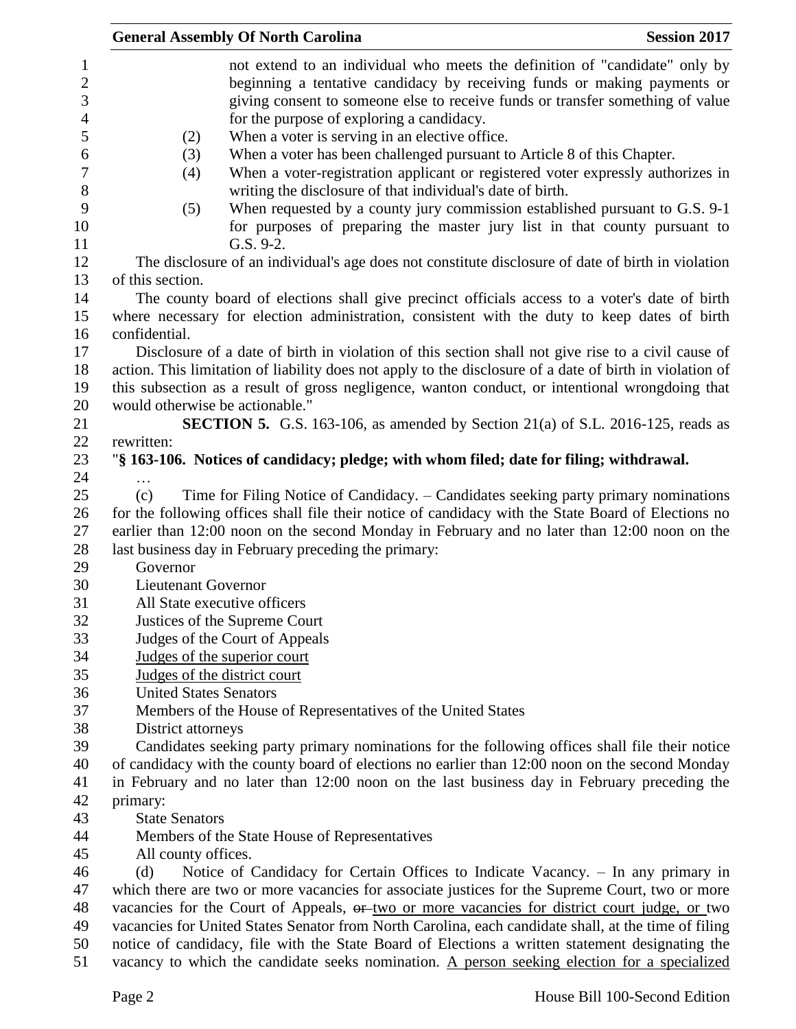|                                                     | <b>General Assembly Of North Carolina</b>                                                                                                                                                                                                                                                         | <b>Session 2017</b> |
|-----------------------------------------------------|---------------------------------------------------------------------------------------------------------------------------------------------------------------------------------------------------------------------------------------------------------------------------------------------------|---------------------|
| $\mathbf{1}$<br>$\mathbf{2}$<br>3<br>$\overline{4}$ | not extend to an individual who meets the definition of "candidate" only by<br>beginning a tentative candidacy by receiving funds or making payments or<br>giving consent to someone else to receive funds or transfer something of value<br>for the purpose of exploring a candidacy.            |                     |
| 5<br>6<br>$\boldsymbol{7}$                          | When a voter is serving in an elective office.<br>(2)<br>When a voter has been challenged pursuant to Article 8 of this Chapter.<br>(3)<br>When a voter-registration applicant or registered voter expressly authorizes in<br>(4)                                                                 |                     |
| 8<br>9<br>10                                        | writing the disclosure of that individual's date of birth.<br>When requested by a county jury commission established pursuant to G.S. 9-1<br>(5)<br>for purposes of preparing the master jury list in that county pursuant to                                                                     |                     |
| 11<br>12<br>13                                      | G.S. 9-2.<br>The disclosure of an individual's age does not constitute disclosure of date of birth in violation<br>of this section.                                                                                                                                                               |                     |
| 14<br>15                                            | The county board of elections shall give precinct officials access to a voter's date of birth<br>where necessary for election administration, consistent with the duty to keep dates of birth                                                                                                     |                     |
| 16<br>17<br>18                                      | confidential.<br>Disclosure of a date of birth in violation of this section shall not give rise to a civil cause of<br>action. This limitation of liability does not apply to the disclosure of a date of birth in violation of                                                                   |                     |
| 19<br>20<br>21                                      | this subsection as a result of gross negligence, wanton conduct, or intentional wrongdoing that<br>would otherwise be actionable."<br><b>SECTION 5.</b> G.S. 163-106, as amended by Section 21(a) of S.L. 2016-125, reads as                                                                      |                     |
| 22<br>23<br>24                                      | rewritten:<br>"§ 163-106. Notices of candidacy; pledge; with whom filed; date for filing; withdrawal.                                                                                                                                                                                             |                     |
| 25<br>26<br>27                                      | Time for Filing Notice of Candidacy. - Candidates seeking party primary nominations<br>(c)<br>for the following offices shall file their notice of candidacy with the State Board of Elections no<br>earlier than 12:00 noon on the second Monday in February and no later than 12:00 noon on the |                     |
| 28<br>29<br>30                                      | last business day in February preceding the primary:<br>Governor<br>Lieutenant Governor                                                                                                                                                                                                           |                     |
| 31<br>32                                            | All State executive officers<br>Justices of the Supreme Court                                                                                                                                                                                                                                     |                     |
| 33<br>34<br>35                                      | Judges of the Court of Appeals<br>Judges of the superior court<br>Judges of the district court                                                                                                                                                                                                    |                     |
| 36<br>37                                            | <b>United States Senators</b><br>Members of the House of Representatives of the United States                                                                                                                                                                                                     |                     |
| 38<br>39<br>40                                      | District attorneys<br>Candidates seeking party primary nominations for the following offices shall file their notice<br>of candidacy with the county board of elections no earlier than 12:00 noon on the second Monday                                                                           |                     |
| 41<br>42<br>43                                      | in February and no later than 12:00 noon on the last business day in February preceding the<br>primary:<br><b>State Senators</b>                                                                                                                                                                  |                     |
| 44<br>45                                            | Members of the State House of Representatives<br>All county offices.                                                                                                                                                                                                                              |                     |
| 46<br>47<br>48                                      | Notice of Candidacy for Certain Offices to Indicate Vacancy. - In any primary in<br>(d)<br>which there are two or more vacancies for associate justices for the Supreme Court, two or more<br>vacancies for the Court of Appeals, or two or more vacancies for district court judge, or two       |                     |
| 49<br>50                                            | vacancies for United States Senator from North Carolina, each candidate shall, at the time of filing<br>notice of candidacy, file with the State Board of Elections a written statement designating the                                                                                           |                     |
| 51                                                  | vacancy to which the candidate seeks nomination. A person seeking election for a specialized                                                                                                                                                                                                      |                     |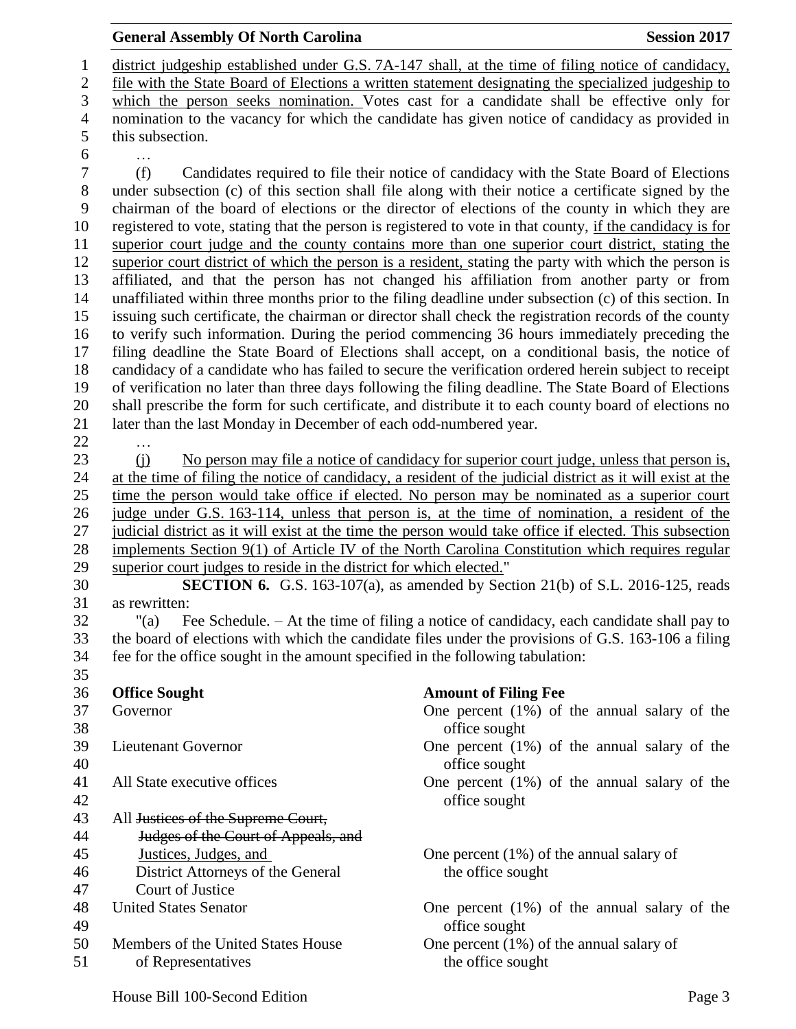## district judgeship established under G.S. 7A-147 shall, at the time of filing notice of candidacy, file with the State Board of Elections a written statement designating the specialized judgeship to which the person seeks nomination. Votes cast for a candidate shall be effective only for nomination to the vacancy for which the candidate has given notice of candidacy as provided in this subsection. … (f) Candidates required to file their notice of candidacy with the State Board of Elections under subsection (c) of this section shall file along with their notice a certificate signed by the chairman of the board of elections or the director of elections of the county in which they are registered to vote, stating that the person is registered to vote in that county, if the candidacy is for superior court judge and the county contains more than one superior court district, stating the superior court district of which the person is a resident, stating the party with which the person is affiliated, and that the person has not changed his affiliation from another party or from unaffiliated within three months prior to the filing deadline under subsection (c) of this section. In issuing such certificate, the chairman or director shall check the registration records of the county to verify such information. During the period commencing 36 hours immediately preceding the filing deadline the State Board of Elections shall accept, on a conditional basis, the notice of candidacy of a candidate who has failed to secure the verification ordered herein subject to receipt of verification no later than three days following the filing deadline. The State Board of Elections shall prescribe the form for such certificate, and distribute it to each county board of elections no later than the last Monday in December of each odd-numbered year. … (j) No person may file a notice of candidacy for superior court judge, unless that person is, at the time of filing the notice of candidacy, a resident of the judicial district as it will exist at the time the person would take office if elected. No person may be nominated as a superior court judge under G.S. 163-114, unless that person is, at the time of nomination, a resident of the judicial district as it will exist at the time the person would take office if elected. This subsection implements Section 9(1) of Article IV of the North Carolina Constitution which requires regular superior court judges to reside in the district for which elected." **SECTION 6.** G.S. 163-107(a), as amended by Section 21(b) of S.L. 2016-125, reads as rewritten: "(a) Fee Schedule. – At the time of filing a notice of candidacy, each candidate shall pay to the board of elections with which the candidate files under the provisions of G.S. 163-106 a filing fee for the office sought in the amount specified in the following tabulation: **Office Sought Amount of Filing Fee** Governor One percent (1%) of the annual salary of the office sought Lieutenant Governor One percent (1%) of the annual salary of the office sought All State executive offices One percent (1%) of the annual salary of the office sought All Justices of the Supreme Court, Judges of the Court of Appeals, and Justices, Judges, and One percent (1%) of the annual salary of 46 District Attorneys of the General the office sought Court of Justice United States Senator One percent (1%) of the annual salary of the office sought Members of the United States House One percent (1%) of the annual salary of

51 of Representatives the office sought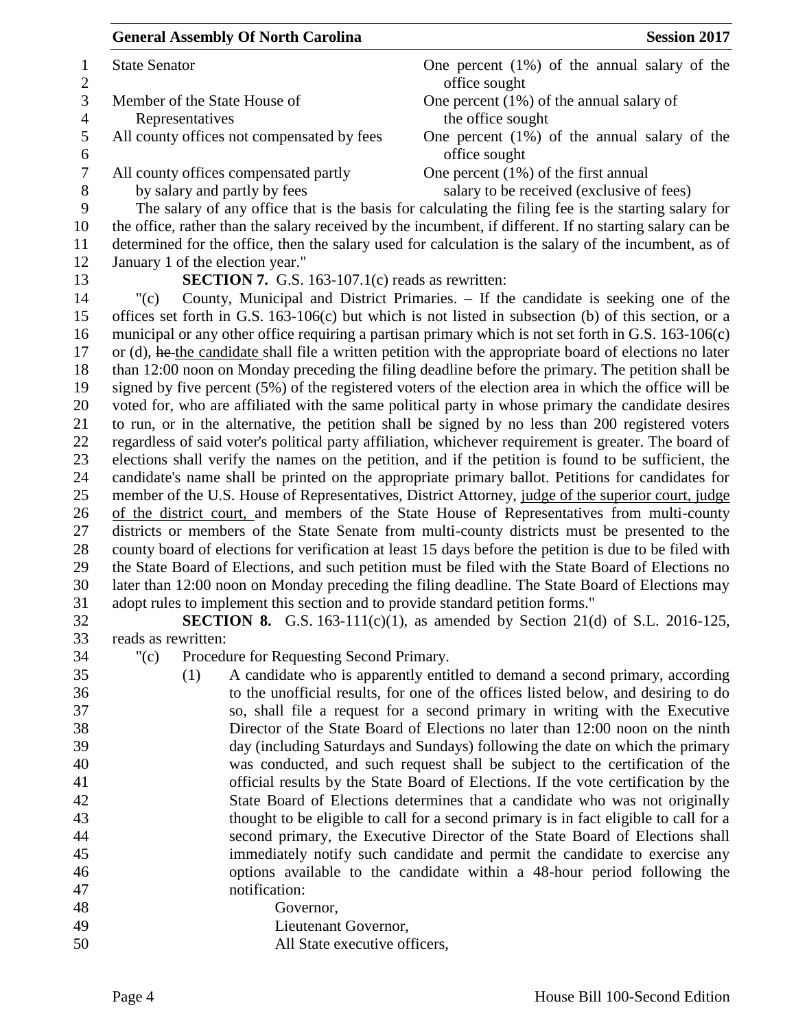| <b>General Assembly Of North Carolina</b>                                      | <b>Session 2017</b>                                                                                                                                                |
|--------------------------------------------------------------------------------|--------------------------------------------------------------------------------------------------------------------------------------------------------------------|
| <b>State Senator</b>                                                           | One percent $(1%)$ of the annual salary of the<br>office sought                                                                                                    |
| Member of the State House of                                                   | One percent $(1\%)$ of the annual salary of                                                                                                                        |
| Representatives                                                                | the office sought                                                                                                                                                  |
| All county offices not compensated by fees                                     | One percent $(1%)$ of the annual salary of the<br>office sought                                                                                                    |
| All county offices compensated partly                                          | One percent $(1\%)$ of the first annual                                                                                                                            |
| by salary and partly by fees                                                   | salary to be received (exclusive of fees)                                                                                                                          |
|                                                                                | The salary of any office that is the basis for calculating the filing fee is the starting salary for                                                               |
|                                                                                | the office, rather than the salary received by the incumbent, if different. If no starting salary can be                                                           |
|                                                                                | determined for the office, then the salary used for calculation is the salary of the incumbent, as of                                                              |
| January 1 of the election year."                                               |                                                                                                                                                                    |
| <b>SECTION 7.</b> G.S. 163-107.1 $(c)$ reads as rewritten:                     |                                                                                                                                                                    |
| "(c)                                                                           | County, Municipal and District Primaries. – If the candidate is seeking one of the                                                                                 |
|                                                                                | offices set forth in G.S. $163-106(c)$ but which is not listed in subsection (b) of this section, or a                                                             |
|                                                                                | municipal or any other office requiring a partisan primary which is not set forth in G.S. 163-106(c)                                                               |
|                                                                                | or (d), he the candidate shall file a written petition with the appropriate board of elections no later                                                            |
|                                                                                | than 12:00 noon on Monday preceding the filing deadline before the primary. The petition shall be                                                                  |
|                                                                                | signed by five percent (5%) of the registered voters of the election area in which the office will be                                                              |
|                                                                                | voted for, who are affiliated with the same political party in whose primary the candidate desires                                                                 |
|                                                                                | to run, or in the alternative, the petition shall be signed by no less than 200 registered voters                                                                  |
|                                                                                | regardless of said voter's political party affiliation, whichever requirement is greater. The board of                                                             |
|                                                                                | elections shall verify the names on the petition, and if the petition is found to be sufficient, the                                                               |
|                                                                                | candidate's name shall be printed on the appropriate primary ballot. Petitions for candidates for                                                                  |
|                                                                                | member of the U.S. House of Representatives, District Attorney, judge of the superior court, judge                                                                 |
|                                                                                | of the district court, and members of the State House of Representatives from multi-county                                                                         |
|                                                                                | districts or members of the State Senate from multi-county districts must be presented to the                                                                      |
|                                                                                | county board of elections for verification at least 15 days before the petition is due to be filed with                                                            |
|                                                                                | the State Board of Elections, and such petition must be filed with the State Board of Elections no                                                                 |
|                                                                                | later than 12:00 noon on Monday preceding the filing deadline. The State Board of Elections may                                                                    |
| adopt rules to implement this section and to provide standard petition forms." |                                                                                                                                                                    |
|                                                                                | <b>SECTION 8.</b> G.S. 163-111(c)(1), as amended by Section 21(d) of S.L. 2016-125,                                                                                |
| reads as rewritten:                                                            |                                                                                                                                                                    |
| " $(c)$<br>Procedure for Requesting Second Primary.                            |                                                                                                                                                                    |
| (1)                                                                            | A candidate who is apparently entitled to demand a second primary, according<br>to the unofficial results, for one of the offices listed below, and desiring to do |
|                                                                                |                                                                                                                                                                    |
|                                                                                | so, shall file a request for a second primary in writing with the Executive<br>Director of the State Board of Elections no later than 12:00 noon on the ninth      |
|                                                                                | day (including Saturdays and Sundays) following the date on which the primary                                                                                      |
|                                                                                |                                                                                                                                                                    |
|                                                                                | was conducted, and such request shall be subject to the certification of the<br>official results by the State Board of Elections. If the vote certification by the |
|                                                                                | State Board of Elections determines that a candidate who was not originally                                                                                        |
|                                                                                | thought to be eligible to call for a second primary is in fact eligible to call for a                                                                              |
|                                                                                | second primary, the Executive Director of the State Board of Elections shall                                                                                       |
|                                                                                | immediately notify such candidate and permit the candidate to exercise any                                                                                         |
|                                                                                | options available to the candidate within a 48-hour period following the                                                                                           |
| notification:                                                                  |                                                                                                                                                                    |
| Governor,                                                                      |                                                                                                                                                                    |
| Lieutenant Governor,                                                           |                                                                                                                                                                    |
| All State executive officers,                                                  |                                                                                                                                                                    |
|                                                                                |                                                                                                                                                                    |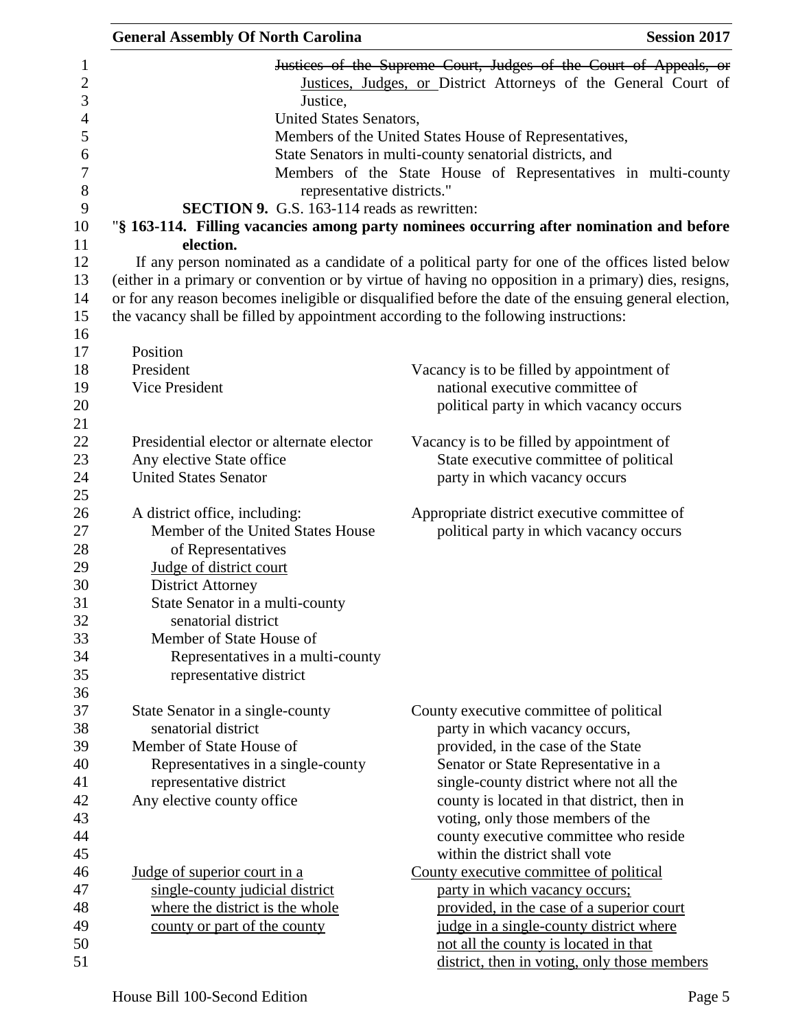| <b>General Assembly Of North Carolina</b>               | <b>Session 2017</b>                                                                                                                  |
|---------------------------------------------------------|--------------------------------------------------------------------------------------------------------------------------------------|
|                                                         | Justices of the Supreme Court, Judges of the Court of Appeals, or<br>Justices, Judges, or District Attorneys of the General Court of |
| Justice,                                                |                                                                                                                                      |
| United States Senators,                                 |                                                                                                                                      |
|                                                         | Members of the United States House of Representatives,                                                                               |
|                                                         | State Senators in multi-county senatorial districts, and                                                                             |
|                                                         | Members of the State House of Representatives in multi-county<br>representative districts."                                          |
| <b>SECTION 9.</b> G.S. 163-114 reads as rewritten:      |                                                                                                                                      |
|                                                         | "§ 163-114. Filling vacancies among party nominees occurring after nomination and before                                             |
| election.                                               |                                                                                                                                      |
|                                                         | If any person nominated as a candidate of a political party for one of the offices listed below                                      |
|                                                         | (either in a primary or convention or by virtue of having no opposition in a primary) dies, resigns,                                 |
|                                                         | or for any reason becomes ineligible or disqualified before the date of the ensuing general election,                                |
|                                                         | the vacancy shall be filled by appointment according to the following instructions:                                                  |
|                                                         |                                                                                                                                      |
| Position                                                |                                                                                                                                      |
| President                                               | Vacancy is to be filled by appointment of                                                                                            |
| Vice President                                          | national executive committee of                                                                                                      |
|                                                         | political party in which vacancy occurs                                                                                              |
| Presidential elector or alternate elector               |                                                                                                                                      |
| Any elective State office                               | Vacancy is to be filled by appointment of<br>State executive committee of political                                                  |
| <b>United States Senator</b>                            | party in which vacancy occurs                                                                                                        |
|                                                         |                                                                                                                                      |
| A district office, including:                           | Appropriate district executive committee of                                                                                          |
| Member of the United States House                       | political party in which vacancy occurs                                                                                              |
| of Representatives                                      |                                                                                                                                      |
| Judge of district court                                 |                                                                                                                                      |
| <b>District Attorney</b>                                |                                                                                                                                      |
| State Senator in a multi-county                         |                                                                                                                                      |
| senatorial district                                     |                                                                                                                                      |
| Member of State House of                                |                                                                                                                                      |
| Representatives in a multi-county                       |                                                                                                                                      |
| representative district                                 |                                                                                                                                      |
|                                                         |                                                                                                                                      |
| State Senator in a single-county<br>senatorial district | County executive committee of political<br>party in which vacancy occurs,                                                            |
| Member of State House of                                | provided, in the case of the State                                                                                                   |
| Representatives in a single-county                      | Senator or State Representative in a                                                                                                 |
| representative district                                 | single-county district where not all the                                                                                             |
| Any elective county office                              | county is located in that district, then in                                                                                          |
|                                                         | voting, only those members of the                                                                                                    |
|                                                         | county executive committee who reside                                                                                                |
|                                                         | within the district shall vote                                                                                                       |
| Judge of superior court in a                            | County executive committee of political                                                                                              |
| single-county judicial district                         | party in which vacancy occurs;                                                                                                       |
| where the district is the whole                         | provided, in the case of a superior court                                                                                            |
| county or part of the county                            | judge in a single-county district where                                                                                              |
|                                                         | not all the county is located in that                                                                                                |
|                                                         | district, then in voting, only those members                                                                                         |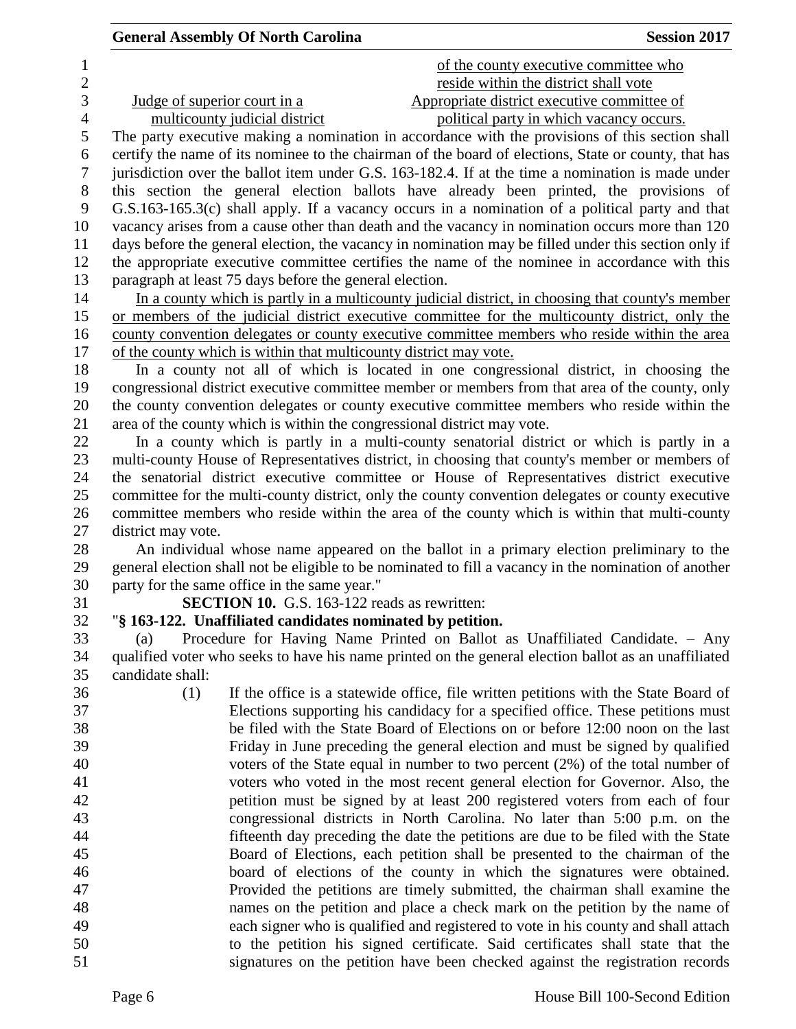| <b>General Assembly Of North Carolina</b> | <b>Session 2017</b> |
|-------------------------------------------|---------------------|
|-------------------------------------------|---------------------|

| 1<br>$\overline{2}$ | of the county executive committee who<br>reside within the district shall vote                                                                                                                 |
|---------------------|------------------------------------------------------------------------------------------------------------------------------------------------------------------------------------------------|
| 3                   | Appropriate district executive committee of<br>Judge of superior court in a                                                                                                                    |
| $\overline{4}$      | multicounty judicial district<br>political party in which vacancy occurs.                                                                                                                      |
| $\mathfrak s$       | The party executive making a nomination in accordance with the provisions of this section shall                                                                                                |
| 6                   | certify the name of its nominee to the chairman of the board of elections, State or county, that has                                                                                           |
| $\tau$              | jurisdiction over the ballot item under G.S. 163-182.4. If at the time a nomination is made under                                                                                              |
| $8\,$               | this section the general election ballots have already been printed, the provisions of                                                                                                         |
| 9                   | G.S.163-165.3(c) shall apply. If a vacancy occurs in a nomination of a political party and that                                                                                                |
| 10                  | vacancy arises from a cause other than death and the vacancy in nomination occurs more than 120                                                                                                |
| 11                  | days before the general election, the vacancy in nomination may be filled under this section only if                                                                                           |
| 12                  | the appropriate executive committee certifies the name of the nominee in accordance with this                                                                                                  |
| 13                  | paragraph at least 75 days before the general election.                                                                                                                                        |
| 14                  | In a county which is partly in a multicounty judicial district, in choosing that county's member                                                                                               |
| 15                  | or members of the judicial district executive committee for the multicounty district, only the                                                                                                 |
| 16                  | county convention delegates or county executive committee members who reside within the area                                                                                                   |
| 17                  | of the county which is within that multicounty district may vote.                                                                                                                              |
| 18                  | In a county not all of which is located in one congressional district, in choosing the                                                                                                         |
| 19<br>20            | congressional district executive committee member or members from that area of the county, only<br>the county convention delegates or county executive committee members who reside within the |
| 21                  | area of the county which is within the congressional district may vote.                                                                                                                        |
| 22                  | In a county which is partly in a multi-county senatorial district or which is partly in a                                                                                                      |
| 23                  | multi-county House of Representatives district, in choosing that county's member or members of                                                                                                 |
| 24                  | the senatorial district executive committee or House of Representatives district executive                                                                                                     |
| 25                  | committee for the multi-county district, only the county convention delegates or county executive                                                                                              |
| 26                  | committee members who reside within the area of the county which is within that multi-county                                                                                                   |
| 27                  | district may vote.                                                                                                                                                                             |
| 28                  | An individual whose name appeared on the ballot in a primary election preliminary to the                                                                                                       |
| 29                  | general election shall not be eligible to be nominated to fill a vacancy in the nomination of another                                                                                          |
| 30                  | party for the same office in the same year."                                                                                                                                                   |
| 31                  | <b>SECTION 10.</b> G.S. 163-122 reads as rewritten:                                                                                                                                            |
| 32                  | "§ 163-122. Unaffiliated candidates nominated by petition.                                                                                                                                     |
| 33                  | Procedure for Having Name Printed on Ballot as Unaffiliated Candidate. - Any<br>(a)                                                                                                            |
| 34                  | qualified voter who seeks to have his name printed on the general election ballot as an unaffiliated                                                                                           |
| 35                  | candidate shall:                                                                                                                                                                               |
| 36                  | (1)<br>If the office is a statewide office, file written petitions with the State Board of                                                                                                     |
| 37                  | Elections supporting his candidacy for a specified office. These petitions must                                                                                                                |
| 38                  | be filed with the State Board of Elections on or before 12:00 noon on the last                                                                                                                 |
| 39                  | Friday in June preceding the general election and must be signed by qualified                                                                                                                  |
| 40                  | voters of the State equal in number to two percent $(2%)$ of the total number of                                                                                                               |
| 41                  | voters who voted in the most recent general election for Governor. Also, the                                                                                                                   |
| 42                  | petition must be signed by at least 200 registered voters from each of four                                                                                                                    |
| 43                  | congressional districts in North Carolina. No later than 5:00 p.m. on the                                                                                                                      |
| 44                  | fifteenth day preceding the date the petitions are due to be filed with the State                                                                                                              |
| 45                  | Board of Elections, each petition shall be presented to the chairman of the                                                                                                                    |
| 46                  | board of elections of the county in which the signatures were obtained.                                                                                                                        |
| 47                  | Provided the petitions are timely submitted, the chairman shall examine the                                                                                                                    |
| 48<br>49            | names on the petition and place a check mark on the petition by the name of                                                                                                                    |
| 50                  | each signer who is qualified and registered to vote in his county and shall attach<br>to the petition his signed certificate. Said certificates shall state that the                           |
|                     |                                                                                                                                                                                                |

signatures on the petition have been checked against the registration records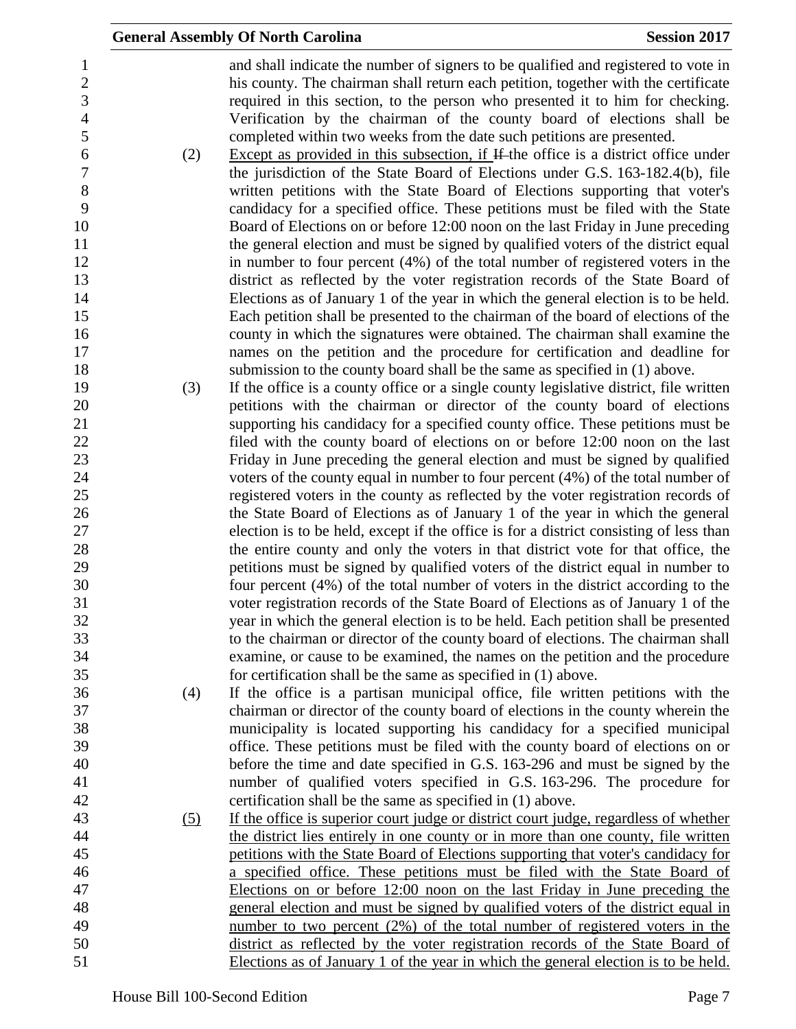|     | <b>General Assembly Of North Carolina</b>                                                                                                                                                                                                                                                                                                                                                                                | <b>Session 2017</b> |
|-----|--------------------------------------------------------------------------------------------------------------------------------------------------------------------------------------------------------------------------------------------------------------------------------------------------------------------------------------------------------------------------------------------------------------------------|---------------------|
|     | and shall indicate the number of signers to be qualified and registered to vote in<br>his county. The chairman shall return each petition, together with the certificate<br>required in this section, to the person who presented it to him for checking.<br>Verification by the chairman of the county board of elections shall be<br>completed within two weeks from the date such petitions are presented.            |                     |
| (2) | Except as provided in this subsection, if If the office is a district office under<br>the jurisdiction of the State Board of Elections under G.S. 163-182.4(b), file<br>written petitions with the State Board of Elections supporting that voter's<br>candidacy for a specified office. These petitions must be filed with the State<br>Board of Elections on or before 12:00 noon on the last Friday in June preceding |                     |
|     | the general election and must be signed by qualified voters of the district equal                                                                                                                                                                                                                                                                                                                                        |                     |
|     | in number to four percent (4%) of the total number of registered voters in the                                                                                                                                                                                                                                                                                                                                           |                     |
|     | district as reflected by the voter registration records of the State Board of                                                                                                                                                                                                                                                                                                                                            |                     |
|     | Elections as of January 1 of the year in which the general election is to be held.                                                                                                                                                                                                                                                                                                                                       |                     |
|     | Each petition shall be presented to the chairman of the board of elections of the                                                                                                                                                                                                                                                                                                                                        |                     |
|     | county in which the signatures were obtained. The chairman shall examine the                                                                                                                                                                                                                                                                                                                                             |                     |
|     | names on the petition and the procedure for certification and deadline for                                                                                                                                                                                                                                                                                                                                               |                     |
|     | submission to the county board shall be the same as specified in (1) above.                                                                                                                                                                                                                                                                                                                                              |                     |
| (3) | If the office is a county office or a single county legislative district, file written                                                                                                                                                                                                                                                                                                                                   |                     |
|     | petitions with the chairman or director of the county board of elections                                                                                                                                                                                                                                                                                                                                                 |                     |
|     | supporting his candidacy for a specified county office. These petitions must be                                                                                                                                                                                                                                                                                                                                          |                     |
|     | filed with the county board of elections on or before 12:00 noon on the last                                                                                                                                                                                                                                                                                                                                             |                     |
|     | Friday in June preceding the general election and must be signed by qualified                                                                                                                                                                                                                                                                                                                                            |                     |
|     | voters of the county equal in number to four percent $(4%)$ of the total number of                                                                                                                                                                                                                                                                                                                                       |                     |
|     | registered voters in the county as reflected by the voter registration records of                                                                                                                                                                                                                                                                                                                                        |                     |
|     | the State Board of Elections as of January 1 of the year in which the general                                                                                                                                                                                                                                                                                                                                            |                     |
|     | election is to be held, except if the office is for a district consisting of less than                                                                                                                                                                                                                                                                                                                                   |                     |
|     | the entire county and only the voters in that district vote for that office, the                                                                                                                                                                                                                                                                                                                                         |                     |
|     | petitions must be signed by qualified voters of the district equal in number to<br>four percent (4%) of the total number of voters in the district according to the                                                                                                                                                                                                                                                      |                     |
|     | voter registration records of the State Board of Elections as of January 1 of the                                                                                                                                                                                                                                                                                                                                        |                     |
|     | year in which the general election is to be held. Each petition shall be presented                                                                                                                                                                                                                                                                                                                                       |                     |
|     | to the chairman or director of the county board of elections. The chairman shall                                                                                                                                                                                                                                                                                                                                         |                     |
|     | examine, or cause to be examined, the names on the petition and the procedure                                                                                                                                                                                                                                                                                                                                            |                     |
|     | for certification shall be the same as specified in (1) above.                                                                                                                                                                                                                                                                                                                                                           |                     |
| (4) | If the office is a partisan municipal office, file written petitions with the                                                                                                                                                                                                                                                                                                                                            |                     |
|     | chairman or director of the county board of elections in the county wherein the                                                                                                                                                                                                                                                                                                                                          |                     |
|     | municipality is located supporting his candidacy for a specified municipal                                                                                                                                                                                                                                                                                                                                               |                     |
|     | office. These petitions must be filed with the county board of elections on or                                                                                                                                                                                                                                                                                                                                           |                     |
|     | before the time and date specified in G.S. 163-296 and must be signed by the                                                                                                                                                                                                                                                                                                                                             |                     |
|     | number of qualified voters specified in G.S. 163-296. The procedure for                                                                                                                                                                                                                                                                                                                                                  |                     |
|     | certification shall be the same as specified in (1) above.                                                                                                                                                                                                                                                                                                                                                               |                     |
| (5) | If the office is superior court judge or district court judge, regardless of whether                                                                                                                                                                                                                                                                                                                                     |                     |
|     | the district lies entirely in one county or in more than one county, file written                                                                                                                                                                                                                                                                                                                                        |                     |
|     | petitions with the State Board of Elections supporting that voter's candidacy for                                                                                                                                                                                                                                                                                                                                        |                     |
|     | a specified office. These petitions must be filed with the State Board of                                                                                                                                                                                                                                                                                                                                                |                     |
|     | Elections on or before 12:00 noon on the last Friday in June preceding the                                                                                                                                                                                                                                                                                                                                               |                     |
|     | general election and must be signed by qualified voters of the district equal in                                                                                                                                                                                                                                                                                                                                         |                     |
|     | number to two percent (2%) of the total number of registered voters in the                                                                                                                                                                                                                                                                                                                                               |                     |
|     | district as reflected by the voter registration records of the State Board of                                                                                                                                                                                                                                                                                                                                            |                     |
|     | Elections as of January 1 of the year in which the general election is to be held.                                                                                                                                                                                                                                                                                                                                       |                     |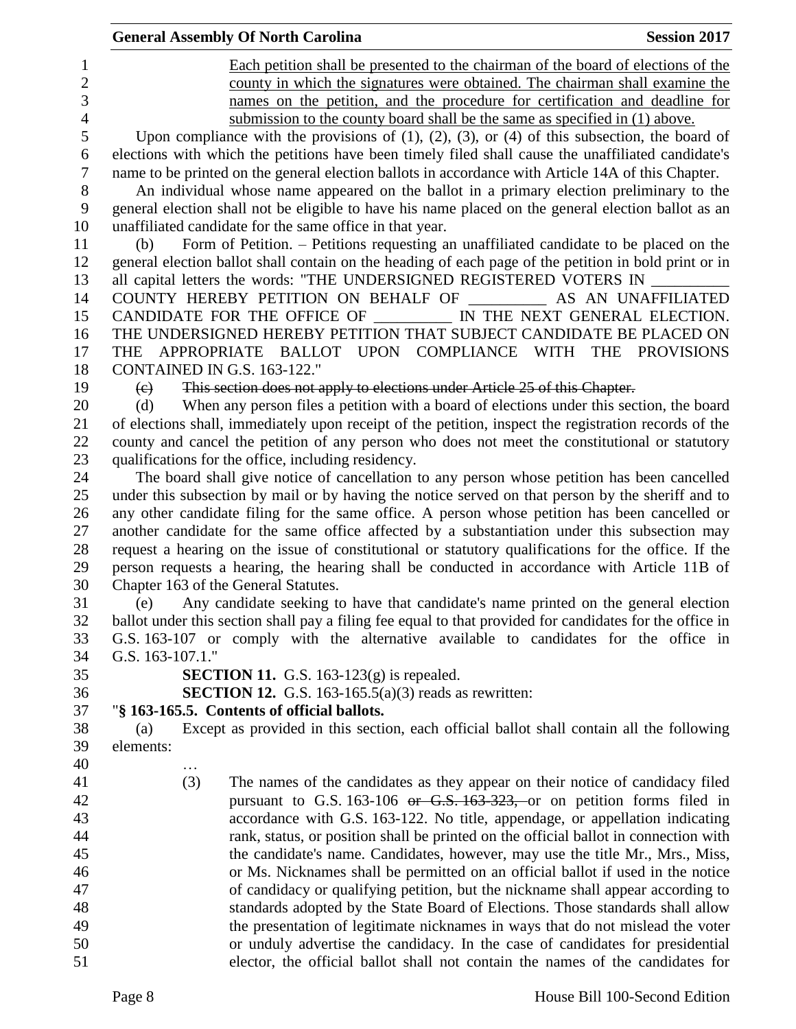| Each petition shall be presented to the chairman of the board of elections of the<br>1<br>$\overline{c}$<br>county in which the signatures were obtained. The chairman shall examine the<br>3<br>names on the petition, and the procedure for certification and deadline for<br>4<br>submission to the county board shall be the same as specified in (1) above. |  |
|------------------------------------------------------------------------------------------------------------------------------------------------------------------------------------------------------------------------------------------------------------------------------------------------------------------------------------------------------------------|--|
|                                                                                                                                                                                                                                                                                                                                                                  |  |
|                                                                                                                                                                                                                                                                                                                                                                  |  |
|                                                                                                                                                                                                                                                                                                                                                                  |  |
|                                                                                                                                                                                                                                                                                                                                                                  |  |
| 5<br>Upon compliance with the provisions of $(1)$ , $(2)$ , $(3)$ , or $(4)$ of this subsection, the board of                                                                                                                                                                                                                                                    |  |
| elections with which the petitions have been timely filed shall cause the unaffiliated candidate's<br>6                                                                                                                                                                                                                                                          |  |
| $\boldsymbol{7}$<br>name to be printed on the general election ballots in accordance with Article 14A of this Chapter.                                                                                                                                                                                                                                           |  |
| 8<br>An individual whose name appeared on the ballot in a primary election preliminary to the                                                                                                                                                                                                                                                                    |  |
| 9<br>general election shall not be eligible to have his name placed on the general election ballot as an                                                                                                                                                                                                                                                         |  |
| 10<br>unaffiliated candidate for the same office in that year.                                                                                                                                                                                                                                                                                                   |  |
| Form of Petition. - Petitions requesting an unaffiliated candidate to be placed on the<br>11<br>(b)                                                                                                                                                                                                                                                              |  |
| general election ballot shall contain on the heading of each page of the petition in bold print or in<br>12                                                                                                                                                                                                                                                      |  |
| all capital letters the words: "THE UNDERSIGNED REGISTERED VOTERS IN<br>13                                                                                                                                                                                                                                                                                       |  |
| COUNTY HEREBY PETITION ON BEHALF OF __________ AS AN UNAFFILIATED<br>14                                                                                                                                                                                                                                                                                          |  |
| CANDIDATE FOR THE OFFICE OF __________ IN THE NEXT GENERAL ELECTION.<br>15                                                                                                                                                                                                                                                                                       |  |
| THE UNDERSIGNED HEREBY PETITION THAT SUBJECT CANDIDATE BE PLACED ON<br>16                                                                                                                                                                                                                                                                                        |  |
| 17<br>THE APPROPRIATE BALLOT UPON COMPLIANCE WITH THE PROVISIONS                                                                                                                                                                                                                                                                                                 |  |
| 18<br>CONTAINED IN G.S. 163-122."                                                                                                                                                                                                                                                                                                                                |  |
| This section does not apply to elections under Article 25 of this Chapter.<br>19<br>$\left(\mathrm{e}\right)$                                                                                                                                                                                                                                                    |  |
| 20<br>When any person files a petition with a board of elections under this section, the board<br>(d)                                                                                                                                                                                                                                                            |  |
| 21<br>of elections shall, immediately upon receipt of the petition, inspect the registration records of the                                                                                                                                                                                                                                                      |  |
| 22<br>county and cancel the petition of any person who does not meet the constitutional or statutory                                                                                                                                                                                                                                                             |  |
| 23<br>qualifications for the office, including residency.                                                                                                                                                                                                                                                                                                        |  |
| The board shall give notice of cancellation to any person whose petition has been cancelled<br>24                                                                                                                                                                                                                                                                |  |
| under this subsection by mail or by having the notice served on that person by the sheriff and to<br>25                                                                                                                                                                                                                                                          |  |
| 26<br>any other candidate filing for the same office. A person whose petition has been cancelled or                                                                                                                                                                                                                                                              |  |
| 27<br>another candidate for the same office affected by a substantiation under this subsection may                                                                                                                                                                                                                                                               |  |
| 28<br>request a hearing on the issue of constitutional or statutory qualifications for the office. If the                                                                                                                                                                                                                                                        |  |
| person requests a hearing, the hearing shall be conducted in accordance with Article 11B of<br>29                                                                                                                                                                                                                                                                |  |
| 30<br>Chapter 163 of the General Statutes.                                                                                                                                                                                                                                                                                                                       |  |
| Any candidate seeking to have that candidate's name printed on the general election<br>31<br>(e)                                                                                                                                                                                                                                                                 |  |
| 32<br>ballot under this section shall pay a filing fee equal to that provided for candidates for the office in                                                                                                                                                                                                                                                   |  |
| 33<br>G.S. 163-107 or comply with the alternative available to candidates for the office in                                                                                                                                                                                                                                                                      |  |
| 34<br>G.S. 163-107.1."                                                                                                                                                                                                                                                                                                                                           |  |
| 35<br><b>SECTION 11.</b> G.S. 163-123 $(g)$ is repealed.                                                                                                                                                                                                                                                                                                         |  |
| 36<br><b>SECTION 12.</b> G.S. 163-165.5(a)(3) reads as rewritten:<br>37<br>"§ 163-165.5. Contents of official ballots.                                                                                                                                                                                                                                           |  |
| 38<br>Except as provided in this section, each official ballot shall contain all the following<br>(a)                                                                                                                                                                                                                                                            |  |
| elements:<br>39                                                                                                                                                                                                                                                                                                                                                  |  |
| 40                                                                                                                                                                                                                                                                                                                                                               |  |
| 41<br>The names of the candidates as they appear on their notice of candidacy filed<br>(3)                                                                                                                                                                                                                                                                       |  |
| 42<br>pursuant to G.S. 163-106 or G.S. 163-323, or on petition forms filed in                                                                                                                                                                                                                                                                                    |  |
| 43<br>accordance with G.S. 163-122. No title, appendage, or appellation indicating                                                                                                                                                                                                                                                                               |  |
| 44<br>rank, status, or position shall be printed on the official ballot in connection with                                                                                                                                                                                                                                                                       |  |
| 45<br>the candidate's name. Candidates, however, may use the title Mr., Mrs., Miss,                                                                                                                                                                                                                                                                              |  |
| 46<br>or Ms. Nicknames shall be permitted on an official ballot if used in the notice                                                                                                                                                                                                                                                                            |  |
| 47<br>of candidacy or qualifying petition, but the nickname shall appear according to                                                                                                                                                                                                                                                                            |  |
| 48<br>standards adopted by the State Board of Elections. Those standards shall allow                                                                                                                                                                                                                                                                             |  |
| 49<br>the presentation of legitimate nicknames in ways that do not mislead the voter                                                                                                                                                                                                                                                                             |  |
| 50<br>or unduly advertise the candidacy. In the case of candidates for presidential                                                                                                                                                                                                                                                                              |  |
| elector, the official ballot shall not contain the names of the candidates for<br>51                                                                                                                                                                                                                                                                             |  |